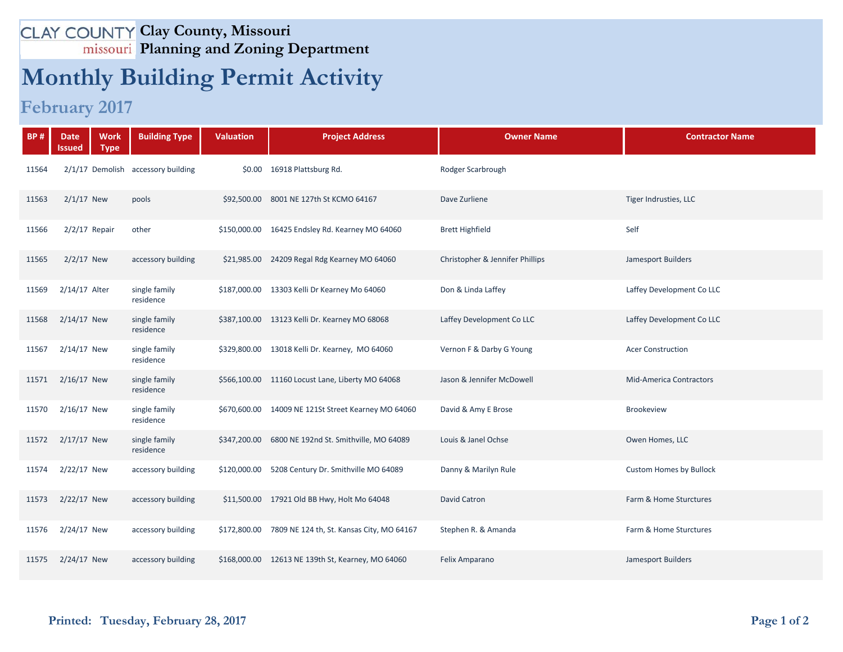## **Clay County, Missouri Planning and Zoning Department**

## **Monthly Building Permit Activity**

**February 2017**

| <b>BP#</b> | <b>Date</b><br><b>Work</b><br><b>Type</b><br>Issued | <b>Building Type</b>               | <b>Valuation</b> | <b>Project Address</b>                              | <b>Owner Name</b>               | <b>Contractor Name</b>         |
|------------|-----------------------------------------------------|------------------------------------|------------------|-----------------------------------------------------|---------------------------------|--------------------------------|
| 11564      |                                                     | 2/1/17 Demolish accessory building |                  | \$0.00 16918 Plattsburg Rd.                         | Rodger Scarbrough               |                                |
| 11563      | $2/1/17$ New                                        | pools                              |                  | \$92,500.00 8001 NE 127th St KCMO 64167             | Dave Zurliene                   | Tiger Indrusties, LLC          |
| 11566      | $2/2/17$ Repair                                     | other                              |                  | \$150,000.00 16425 Endsley Rd. Kearney MO 64060     | <b>Brett Highfield</b>          | Self                           |
| 11565      | $2/2/17$ New                                        | accessory building                 |                  | \$21,985.00 24209 Regal Rdg Kearney MO 64060        | Christopher & Jennifer Phillips | Jamesport Builders             |
| 11569      | 2/14/17 Alter                                       | single family<br>residence         |                  | \$187,000.00 13303 Kelli Dr Kearney Mo 64060        | Don & Linda Laffey              | Laffey Development Co LLC      |
| 11568      | $2/14/17$ New                                       | single family<br>residence         |                  | \$387,100.00 13123 Kelli Dr. Kearney MO 68068       | Laffey Development Co LLC       | Laffey Development Co LLC      |
| 11567      | $2/14/17$ New                                       | single family<br>residence         |                  | \$329,800.00 13018 Kelli Dr. Kearney, MO 64060      | Vernon F & Darby G Young        | <b>Acer Construction</b>       |
| 11571      | $2/16/17$ New                                       | single family<br>residence         |                  | \$566,100.00 11160 Locust Lane, Liberty MO 64068    | Jason & Jennifer McDowell       | <b>Mid-America Contractors</b> |
| 11570      | $2/16/17$ New                                       | single family<br>residence         |                  | \$670,600.00 14009 NE 121St Street Kearney MO 64060 | David & Amy E Brose             | <b>Brookeview</b>              |
| 11572      | $2/17/17$ New                                       | single family<br>residence         |                  | \$347,200.00 6800 NE 192nd St. Smithville, MO 64089 | Louis & Janel Ochse             | Owen Homes, LLC                |
| 11574      | 2/22/17 New                                         | accessory building                 | \$120,000.00     | 5208 Century Dr. Smithville MO 64089                | Danny & Marilyn Rule            | <b>Custom Homes by Bullock</b> |
| 11573      | 2/22/17 New                                         | accessory building                 |                  | \$11,500.00 17921 Old BB Hwy, Holt Mo 64048         | <b>David Catron</b>             | Farm & Home Sturctures         |
| 11576      | 2/24/17 New                                         | accessory building                 | \$172,800.00     | 7809 NE 124 th, St. Kansas City, MO 64167           | Stephen R. & Amanda             | Farm & Home Sturctures         |
| 11575      | $2/24/17$ New                                       | accessory building                 |                  | \$168,000.00 12613 NE 139th St, Kearney, MO 64060   | Felix Amparano                  | Jamesport Builders             |